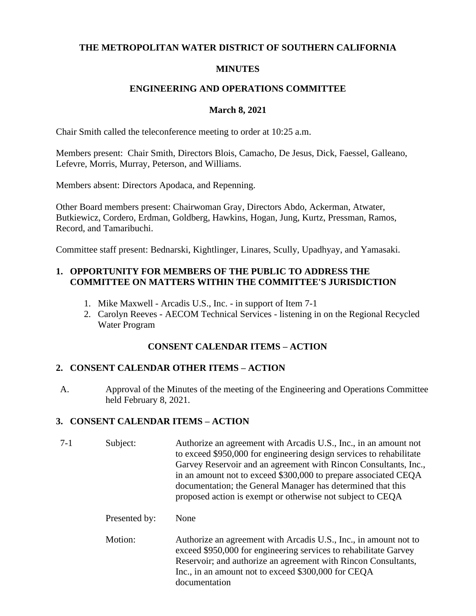## **THE METROPOLITAN WATER DISTRICT OF SOUTHERN CALIFORNIA**

## **MINUTES**

### **ENGINEERING AND OPERATIONS COMMITTEE**

### **March 8, 2021**

Chair Smith called the teleconference meeting to order at 10:25 a.m.

Members present: Chair Smith, Directors Blois, Camacho, De Jesus, Dick, Faessel, Galleano, Lefevre, Morris, Murray, Peterson, and Williams.

Members absent: Directors Apodaca, and Repenning.

Other Board members present: Chairwoman Gray, Directors Abdo, Ackerman, Atwater, Butkiewicz, Cordero, Erdman, Goldberg, Hawkins, Hogan, Jung, Kurtz, Pressman, Ramos, Record, and Tamaribuchi.

Committee staff present: Bednarski, Kightlinger, Linares, Scully, Upadhyay, and Yamasaki.

# **1. OPPORTUNITY FOR MEMBERS OF THE PUBLIC TO ADDRESS THE COMMITTEE ON MATTERS WITHIN THE COMMITTEE'S JURISDICTION**

- 1. Mike Maxwell Arcadis U.S., Inc. in support of Item 7-1
- 2. Carolyn Reeves AECOM Technical Services listening in on the Regional Recycled Water Program

# **CONSENT CALENDAR ITEMS – ACTION**

# **2. CONSENT CALENDAR OTHER ITEMS – ACTION**

A. Approval of the Minutes of the meeting of the Engineering and Operations Committee held February 8, 2021.

# **3. CONSENT CALENDAR ITEMS – ACTION**

- 7-1 Subject: Authorize an agreement with Arcadis U.S., Inc., in an amount not to exceed \$950,000 for engineering design services to rehabilitate Garvey Reservoir and an agreement with Rincon Consultants, Inc., in an amount not to exceed \$300,000 to prepare associated CEQA documentation; the General Manager has determined that this proposed action is exempt or otherwise not subject to CEQA Presented by: None Motion: Authorize an agreement with Arcadis U.S., Inc., in amount not to
	- exceed \$950,000 for engineering services to rehabilitate Garvey Reservoir; and authorize an agreement with Rincon Consultants, Inc., in an amount not to exceed \$300,000 for CEQA documentation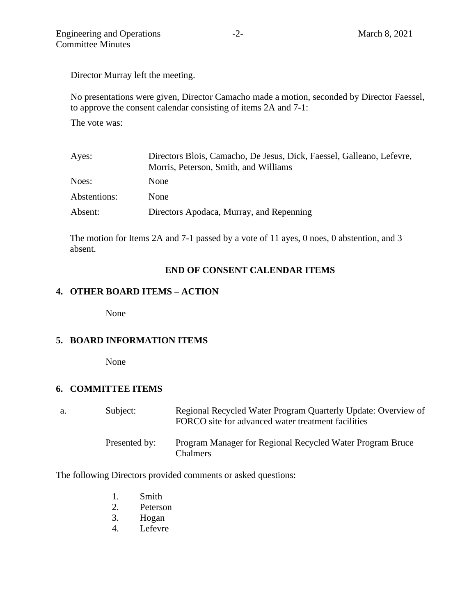Director Murray left the meeting.

No presentations were given, Director Camacho made a motion, seconded by Director Faessel, to approve the consent calendar consisting of items 2A and 7-1:

The vote was:

| Directors Blois, Camacho, De Jesus, Dick, Faessel, Galleano, Lefevre, |  |  |
|-----------------------------------------------------------------------|--|--|
| Morris, Peterson, Smith, and Williams                                 |  |  |
| <b>None</b>                                                           |  |  |
| <b>None</b>                                                           |  |  |
| Directors Apodaca, Murray, and Repenning                              |  |  |
|                                                                       |  |  |

The motion for Items 2A and 7-1 passed by a vote of 11 ayes, 0 noes, 0 abstention, and 3 absent.

### **END OF CONSENT CALENDAR ITEMS**

### **4. OTHER BOARD ITEMS – ACTION**

None

#### **5. BOARD INFORMATION ITEMS**

None

#### **6. COMMITTEE ITEMS**

| а. | Subject:      | Regional Recycled Water Program Quarterly Update: Overview of<br>FORCO site for advanced water treatment facilities |
|----|---------------|---------------------------------------------------------------------------------------------------------------------|
|    | Presented by: | Program Manager for Regional Recycled Water Program Bruce<br><b>Chalmers</b>                                        |

The following Directors provided comments or asked questions:

- 1. Smith
- 2. Peterson
- 3. Hogan
- 4. Lefevre